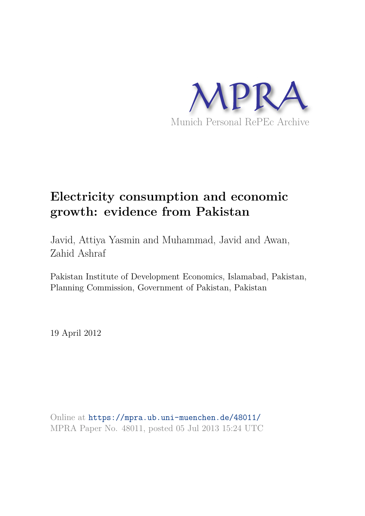

# **Electricity consumption and economic growth: evidence from Pakistan**

Javid, Attiya Yasmin and Muhammad, Javid and Awan, Zahid Ashraf

Pakistan Institute of Development Economics, Islamabad, Pakistan, Planning Commission, Government of Pakistan, Pakistan

19 April 2012

Online at https://mpra.ub.uni-muenchen.de/48011/ MPRA Paper No. 48011, posted 05 Jul 2013 15:24 UTC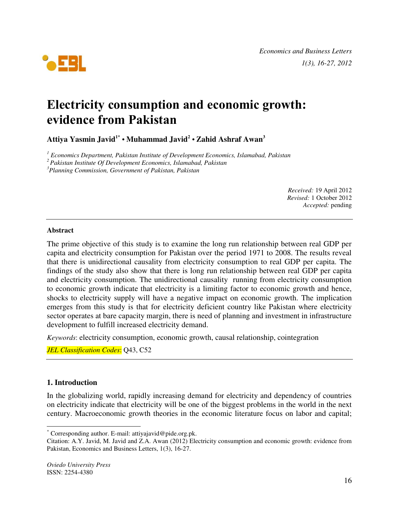

## **Electricity consumption and economic growth: evidence from Pakistan**

**Attiya Yasmin Javid1\* • Muhammad Javid<sup>2</sup> • Zahid Ashraf Awan<sup>3</sup>**

*<sup>1</sup> Economics Department, Pakistan Institute of Development Economics, Islamabad, Pakistan* 

*<sup>2</sup>Pakistan Institute Of Development Economics, Islamabad, Pakistan* 

*<sup>3</sup>Planning Commission, Government of Pakistan, Pakistan* 

*Received:* 19 April 2012 *Revised:* 1 October 2012 *Accepted:* pending

#### **Abstract**

The prime objective of this study is to examine the long run relationship between real GDP per capita and electricity consumption for Pakistan over the period 1971 to 2008. The results reveal that there is unidirectional causality from electricity consumption to real GDP per capita. The findings of the study also show that there is long run relationship between real GDP per capita and electricity consumption. The unidirectional causality running from electricity consumption to economic growth indicate that electricity is a limiting factor to economic growth and hence, shocks to electricity supply will have a negative impact on economic growth. The implication emerges from this study is that for electricity deficient country like Pakistan where electricity sector operates at bare capacity margin, there is need of planning and investment in infrastructure development to fulfill increased electricity demand.

*Keywords*: electricity consumption, economic growth, causal relationship, cointegration

*JEL Classification Codes*: Q43, C52

### **1. Introduction**

 $\overline{a}$ 

In the globalizing world, rapidly increasing demand for electricity and dependency of countries on electricity indicate that electricity will be one of the biggest problems in the world in the next century. Macroeconomic growth theories in the economic literature focus on labor and capital;

<sup>\*</sup> Corresponding author. E-mail: attiyajavid@pide.org.pk.

Citation: A.Y. Javid, M. Javid and Z.A. Awan (2012) Electricity consumption and economic growth: evidence from Pakistan, Economics and Business Letters, 1(3), 16-27.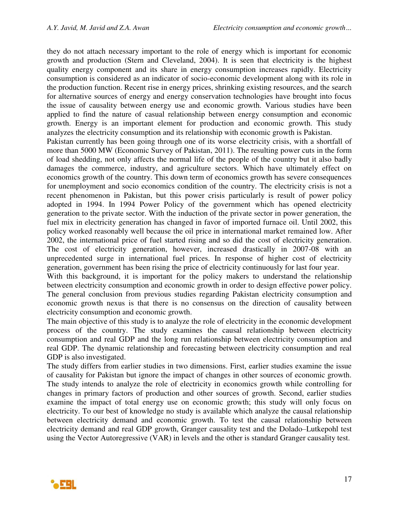they do not attach necessary important to the role of energy which is important for economic growth and production (Stern and Cleveland, 2004). It is seen that electricity is the highest quality energy component and its share in energy consumption increases rapidly. Electricity consumption is considered as an indicator of socio-economic development along with its role in the production function. Recent rise in energy prices, shrinking existing resources, and the search for alternative sources of energy and energy conservation technologies have brought into focus the issue of causality between energy use and economic growth. Various studies have been applied to find the nature of casual relationship between energy consumption and economic growth. Energy is an important element for production and economic growth. This study analyzes the electricity consumption and its relationship with economic growth is Pakistan.

Pakistan currently has been going through one of its worse electricity crisis, with a shortfall of more than 5000 MW (Economic Survey of Pakistan, 2011). The resulting power cuts in the form of load shedding, not only affects the normal life of the people of the country but it also badly damages the commerce, industry, and agriculture sectors. Which have ultimately effect on economics growth of the country. This down term of economics growth has severe consequences for unemployment and socio economics condition of the country. The electricity crisis is not a recent phenomenon in Pakistan, but this power crisis particularly is result of power policy adopted in 1994. In 1994 Power Policy of the government which has opened electricity generation to the private sector. With the induction of the private sector in power generation, the fuel mix in electricity generation has changed in favor of imported furnace oil. Until 2002, this policy worked reasonably well because the oil price in international market remained low. After 2002, the international price of fuel started rising and so did the cost of electricity generation. The cost of electricity generation, however, increased drastically in 2007-08 with an unprecedented surge in international fuel prices. In response of higher cost of electricity generation, government has been rising the price of electricity continuously for last four year.

With this background, it is important for the policy makers to understand the relationship between electricity consumption and economic growth in order to design effective power policy. The general conclusion from previous studies regarding Pakistan electricity consumption and economic growth nexus is that there is no consensus on the direction of causality between electricity consumption and economic growth.

The main objective of this study is to analyze the role of electricity in the economic development process of the country. The study examines the causal relationship between electricity consumption and real GDP and the long run relationship between electricity consumption and real GDP. The dynamic relationship and forecasting between electricity consumption and real GDP is also investigated.

The study differs from earlier studies in two dimensions. First, earlier studies examine the issue of causality for Pakistan but ignore the impact of changes in other sources of economic growth. The study intends to analyze the role of electricity in economics growth while controlling for changes in primary factors of production and other sources of growth. Second, earlier studies examine the impact of total energy use on economic growth; this study will only focus on electricity. To our best of knowledge no study is available which analyze the causal relationship between electricity demand and economic growth. To test the causal relationship between electricity demand and real GDP growth, Granger causality test and the Dolado–Lutkepohl test using the Vector Autoregressive (VAR) in levels and the other is standard Granger causality test.

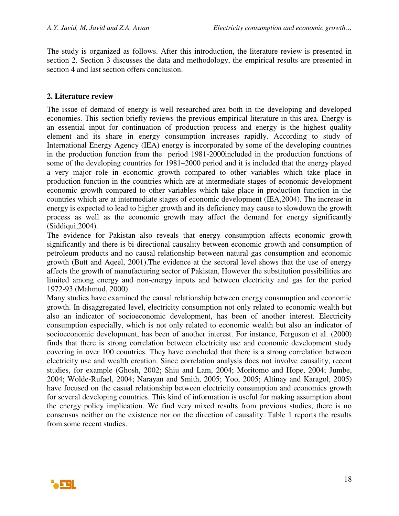The study is organized as follows. After this introduction, the literature review is presented in section 2. Section 3 discusses the data and methodology, the empirical results are presented in section 4 and last section offers conclusion.

## **2. Literature review**

The issue of demand of energy is well researched area both in the developing and developed economies. This section briefly reviews the previous empirical literature in this area. Energy is an essential input for continuation of production process and energy is the highest quality element and its share in energy consumption increases rapidly. According to study of International Energy Agency (IEA) energy is incorporated by some of the developing countries in the production function from the period 1981-2000included in the production functions of some of the developing countries for 1981–2000 period and it is included that the energy played a very major role in economic growth compared to other variables which take place in production function in the countries which are at intermediate stages of economic development economic growth compared to other variables which take place in production function in the countries which are at intermediate stages of economic development (IEA,2004). The increase in energy is expected to lead to higher growth and its deficiency may cause to slowdown the growth process as well as the economic growth may affect the demand for energy significantly (Siddiqui,2004).

The evidence for Pakistan also reveals that energy consumption affects economic growth significantly and there is bi directional causality between economic growth and consumption of petroleum products and no causal relationship between natural gas consumption and economic growth (Butt and Aqeel, 2001).The evidence at the sectoral level shows that the use of energy affects the growth of manufacturing sector of Pakistan, However the substitution possibilities are limited among energy and non-energy inputs and between electricity and gas for the period 1972-93 (Mahmud, 2000).

Many studies have examined the causal relationship between energy consumption and economic growth. In disaggregated level, electricity consumption not only related to economic wealth but also an indicator of socioeconomic development, has been of another interest. Electricity consumption especially, which is not only related to economic wealth but also an indicator of socioeconomic development, has been of another interest. For instance, Ferguson et al. (2000) finds that there is strong correlation between electricity use and economic development study covering in over 100 countries. They have concluded that there is a strong correlation between electricity use and wealth creation. Since correlation analysis does not involve causality, recent studies, for example (Ghosh, 2002; Shiu and Lam, 2004; Moritomo and Hope, 2004; Jumbe, 2004; Wolde-Rufael, 2004; Narayan and Smith, 2005; Yoo, 2005; Altinay and Karagol, 2005) have focused on the casual relationship between electricity consumption and economics growth for several developing countries. This kind of information is useful for making assumption about the energy policy implication. We find very mixed results from previous studies, there is no consensus neither on the existence nor on the direction of causality. Table 1 reports the results from some recent studies.

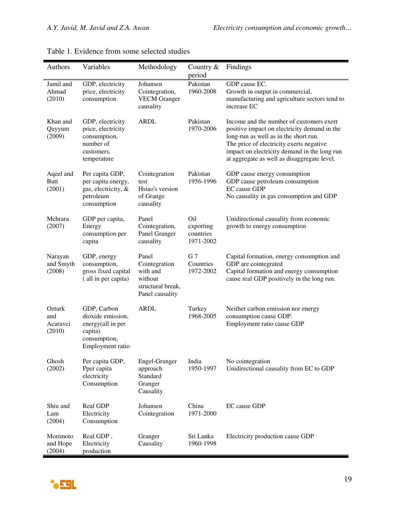| <b>Authors</b>                      | Variables                                                                                            | Methodology                                                                           | Country $&$<br>period                                  | Findings                                                                                                                                                                                                                                                                     |
|-------------------------------------|------------------------------------------------------------------------------------------------------|---------------------------------------------------------------------------------------|--------------------------------------------------------|------------------------------------------------------------------------------------------------------------------------------------------------------------------------------------------------------------------------------------------------------------------------------|
| Jamil and<br>Ahmad<br>(2010)        | GDP, electricity<br>price, electricity<br>consumption                                                | Johansen<br>Cointegration,<br><b>VECM</b> Granger<br>causality                        | Pakistan<br>1960-2008                                  | GDP cause EC.<br>Growth in output in commercial,<br>manufacturing and agriculture sectors tend to<br>increase EC                                                                                                                                                             |
| Khan and<br>Qayyum<br>(2009)        | GDP, electricity<br>price, electricity<br>consumption,<br>number of<br>customers,<br>temperature     | <b>ARDL</b>                                                                           | Pakistan<br>1970-2006                                  | Income and the number of customers exert<br>positive impact on electricity demand in the<br>long-run as well as in the short run.<br>The price of electricity exerts negative<br>impact on electricity demand in the long run<br>at aggregate as well as disaggregate level. |
| Aqeel and<br><b>Butt</b><br>(2001)  | Per capita GDP,<br>per capita energy,<br>gas, electricity, &<br>petroleum<br>consumption             | Cointegration<br>test<br>Hsiao's version<br>of Grange<br>causality                    | Pakistan<br>1956-1996                                  | GDP cause energy consumption<br>GDP cause petroleum consumption<br><b>EC</b> cause GDP<br>No causality in gas consumption and GDP                                                                                                                                            |
| Mehrara<br>(2007)                   | GDP per capita,<br>Energy<br>consumption per<br>capita                                               | Panel<br>Cointegration,<br>Panel Granger<br>causality                                 | O <sub>il</sub><br>exporting<br>countries<br>1971-2002 | Unidirectional causality from economic<br>growth to energy consumption                                                                                                                                                                                                       |
| Narayan<br>and Smyth<br>(2008)      | GDP, energy<br>consumption,<br>gross fixed capital<br>(all in per capita)                            | Panel<br>Cointegration<br>with and<br>without<br>structural break,<br>Panel causality | G <sub>7</sub><br>Countries<br>1972-2002               | Capital formation, energy consumption and<br>GDP are cointegrated<br>Capital formation and energy consumption<br>cause real GDP positively in the long run.                                                                                                                  |
| Ozturk<br>and<br>Acaravci<br>(2010) | GDP, Carbon<br>dioxide emission,<br>energy(all in per<br>capita)<br>consumption,<br>Employment ratio | <b>ARDL</b>                                                                           | Turkey<br>1968-2005                                    | Neither carbon emission nor energy<br>consumption cause GDP.<br>Employment ratio cause GDP                                                                                                                                                                                   |
| Ghosh<br>(2002)                     | Per capita GDP,<br>Pper capita<br>electricity<br>Consumption                                         | Engel-Granger<br>approach<br>Standard<br>Granger<br>Causality                         | India<br>1950-1997                                     | No cointegration<br>Unidirectional causality from EC to GDP                                                                                                                                                                                                                  |
| Shiu and<br>Lam<br>(2004)           | Real GDP<br>Electricity<br>Consumption                                                               | Johansen<br>Cointegration                                                             | China<br>1971-2000                                     | EC cause GDP                                                                                                                                                                                                                                                                 |
| Morimoto<br>and Hope<br>(2004)      | Real GDP,<br>Electricity<br>production                                                               | Granger<br>Causality                                                                  | Sri Lanka<br>1960-1998                                 | Electricity production cause GDP                                                                                                                                                                                                                                             |

|  | Table 1. Evidence from some selected studies |  |  |  |  |
|--|----------------------------------------------|--|--|--|--|
|--|----------------------------------------------|--|--|--|--|

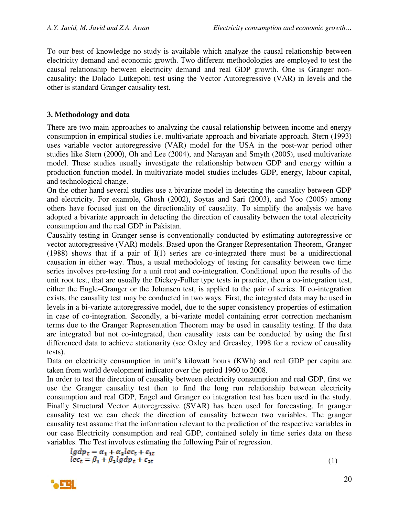To our best of knowledge no study is available which analyze the causal relationship between electricity demand and economic growth. Two different methodologies are employed to test the causal relationship between electricity demand and real GDP growth. One is Granger noncausality: the Dolado–Lutkepohl test using the Vector Autoregressive (VAR) in levels and the other is standard Granger causality test.

## **3. Methodology and data**

There are two main approaches to analyzing the causal relationship between income and energy consumption in empirical studies i.e. multivariate approach and bivariate approach. Stern (1993) uses variable vector autoregressive (VAR) model for the USA in the post-war period other studies like Stern (2000), Oh and Lee (2004), and Narayan and Smyth (2005), used multivariate model. These studies usually investigate the relationship between GDP and energy within a production function model. In multivariate model studies includes GDP, energy, labour capital, and technological change.

On the other hand several studies use a bivariate model in detecting the causality between GDP and electricity. For example, Ghosh (2002), Soytas and Sari (2003), and Yoo (2005) among others have focused just on the directionality of causality. To simplify the analysis we have adopted a bivariate approach in detecting the direction of causality between the total electricity consumption and the real GDP in Pakistan.

Causality testing in Granger sense is conventionally conducted by estimating autoregressive or vector autoregressive (VAR) models. Based upon the Granger Representation Theorem, Granger (1988) shows that if a pair of I(1) series are co-integrated there must be a unidirectional causation in either way. Thus, a usual methodology of testing for causality between two time series involves pre-testing for a unit root and co-integration. Conditional upon the results of the unit root test, that are usually the Dickey-Fuller type tests in practice, then a co-integration test, either the Engle–Granger or the Johansen test, is applied to the pair of series. If co-integration exists, the causality test may be conducted in two ways. First, the integrated data may be used in levels in a bi-variate autoregressive model, due to the super consistency properties of estimation in case of co-integration. Secondly, a bi-variate model containing error correction mechanism terms due to the Granger Representation Theorem may be used in causality testing. If the data are integrated but not co-integrated, then causality tests can be conducted by using the first differenced data to achieve stationarity (see Oxley and Greasley, 1998 for a review of causality tests).

Data on electricity consumption in unit's kilowatt hours (KWh) and real GDP per capita are taken from world development indicator over the period 1960 to 2008.

In order to test the direction of causality between electricity consumption and real GDP, first we use the Granger causality test then to find the long run relationship between electricity consumption and real GDP, Engel and Granger co integration test has been used in the study. Finally Structural Vector Autoregressive (SVAR) has been used for forecasting. In granger causality test we can check the direction of causality between two variables. The granger causality test assume that the information relevant to the prediction of the respective variables in our case Electricity consumption and real GDP, contained solely in time series data on these variables. The Test involves estimating the following Pair of regression.

$$
lgdp_t = \alpha_1 + \alpha_2 lec_t + \varepsilon_{1t}
$$
  

$$
lec_t = \beta_1 + \beta_2 lgdp_t + \varepsilon_{2t}
$$

**AFRI** 

(1)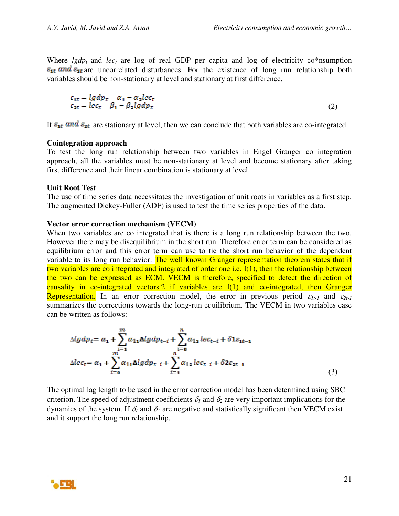Where  $lgdp_t$  and  $lec_t$  are log of real GDP per capita and log of electricity co\*nsumption  $\varepsilon_{1t}$  and  $\varepsilon_{2t}$  are uncorrelated disturbances. For the existence of long run relationship both variables should be non-stationary at level and stationary at first difference.

$$
\varepsilon_{1t} = \lg dp_t - \alpha_1 - \alpha_2 \lg c_t \n\varepsilon_{2t} = \lg c_t - \beta_1 - \beta_2 \lg dp_t
$$
\n(2)

If  $\varepsilon_{1t}$  and  $\varepsilon_{2t}$  are stationary at level, then we can conclude that both variables are co-integrated.

#### **Cointegration approach**

To test the long run relationship between two variables in Engel Granger co integration approach, all the variables must be non-stationary at level and become stationary after taking first difference and their linear combination is stationary at level.

#### **Unit Root Test**

The use of time series data necessitates the investigation of unit roots in variables as a first step. The augmented Dickey-Fuller (ADF) is used to test the time series properties of the data.

#### **Vector error correction mechanism (VECM)**

When two variables are co integrated that is there is a long run relationship between the two. However there may be disequilibrium in the short run. Therefore error term can be considered as equilibrium error and this error term can use to tie the short run behavior of the dependent variable to its long run behavior. The well known Granger representation theorem states that if two variables are co integrated and integrated of order one i.e.  $I(1)$ , then the relationship between the two can be expressed as ECM. VECM is therefore, specified to detect the direction of causality in co-integrated vectors.2 if variables are I(1) and co-integrated, then Granger Representation. In an error correction model, the error in previous period  $\varepsilon_{1t-1}$  and  $\varepsilon_{2t-1}$ summarizes the corrections towards the long-run equilibrium. The VECM in two variables case can be written as follows:

$$
\Delta lg dp_t = \alpha_1 + \sum_{i=1}^m \alpha_{11} \Delta lg dp_{t-i} + \sum_{i=0}^n \alpha_{12} lec_{t-i} + \delta 1 \varepsilon_{1t-1}
$$
  

$$
\Delta lec_t = \alpha_1 + \sum_{i=0}^m \alpha_{11} \Delta lg dp_{t-i} + \sum_{i=1}^n \alpha_{12} lec_{t-i} + \delta 2 \varepsilon_{2t-1}
$$
 (3)

The optimal lag length to be used in the error correction model has been determined using SBC criterion. The speed of adjustment coefficients  $\delta_l$  and  $\delta_2$  are very important implications for the dynamics of the system. If  $\delta_l$  and  $\delta_r$  are negative and statistically significant then VECM exist and it support the long run relationship.

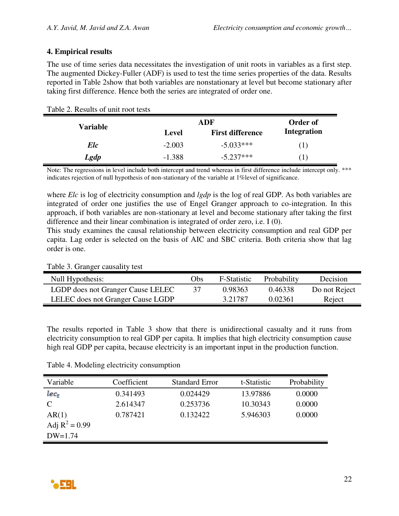## **4. Empirical results**

The use of time series data necessitates the investigation of unit roots in variables as a first step. The augmented Dickey-Fuller (ADF) is used to test the time series properties of the data. Results reported in Table 2show that both variables are nonstationary at level but become stationary after taking first difference. Hence both the series are integrated of order one.

| able 2. Results of unit root tests |          |                         |                    |
|------------------------------------|----------|-------------------------|--------------------|
| <b>Variable</b>                    |          | Order of                |                    |
|                                    | Level    | <b>First difference</b> | <b>Integration</b> |
| Elc                                | $-2.003$ | $-5.033***$             | (1)                |
| Lgdp                               | $-1.388$ | $-5.237***$             | $\perp$            |

## Table 2. Results of unit root tests

Note: The regressions in level include both intercept and trend whereas in first difference include intercept only. \*\*\* indicates rejection of null hypothesis of non-stationary of the variable at 1%level of significance.

where *Elc* is log of electricity consumption and *lgdp* is the log of real GDP. As both variables are integrated of order one justifies the use of Engel Granger approach to co-integration. In this approach, if both variables are non-stationary at level and become stationary after taking the first difference and their linear combination is integrated of order zero, i.e. I (0).

This study examines the causal relationship between electricity consumption and real GDP per capita. Lag order is selected on the basis of AIC and SBC criteria. Both criteria show that lag order is one.

| Null Hypothesis:                  | Obs) | F-Statistic | Probability | Decision      |
|-----------------------------------|------|-------------|-------------|---------------|
| LGDP does not Granger Cause LELEC |      | 0.98363     | 0.46338     | Do not Reject |
| LELEC does not Granger Cause LGDP |      | 3.21787     | 0.02361     | Reject        |

Table 3. Granger causality test

The results reported in Table 3 show that there is unidirectional casualty and it runs from electricity consumption to real GDP per capita. It implies that high electricity consumption cause high real GDP per capita, because electricity is an important input in the production function.

| Variable         | Coefficient | <b>Standard Error</b> | t-Statistic | Probability |
|------------------|-------------|-----------------------|-------------|-------------|
| $lec_t$          | 0.341493    | 0.024429              | 13.97886    | 0.0000      |
| $\mathcal{C}$    | 2.614347    | 0.253736              | 10.30343    | 0.0000      |
| AR(1)            | 0.787421    | 0.132422              | 5.946303    | 0.0000      |
| Adj $R^2 = 0.99$ |             |                       |             |             |
| $DW=1.74$        |             |                       |             |             |

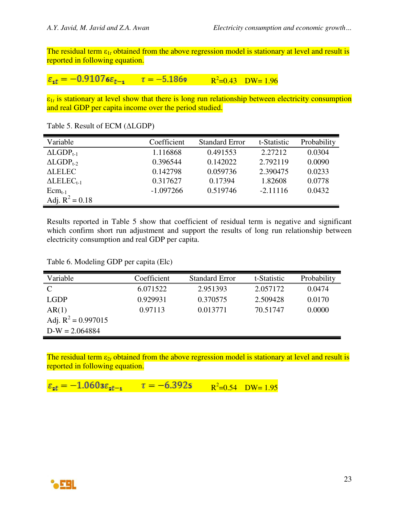The residual term ε<sub>1t</sub> obtained from the above regression model is stationary at level and result is reported in following equation.

$$
\varepsilon_{\text{1}t} = -0.91076\varepsilon_{t-\text{1}}
$$
  $\tau = -5.1869$   $R^2=0.43$  DW = 1.96

ε1*t* is stationary at level show that there is long run relationship between electricity consumption and real GDP per capita income over the period studied.

| Variable                       | Coefficient | <b>Standard Error</b> | t-Statistic | Probability |
|--------------------------------|-------------|-----------------------|-------------|-------------|
| $\Delta$ LGDP <sub>t-1</sub>   | 1.116868    | 0.491553              | 2.27212     | 0.0304      |
| $ALGDP_{t-2}$                  | 0.396544    | 0.142022              | 2.792119    | 0.0090      |
| <b>ALELEC</b>                  | 0.142798    | 0.059736              | 2.390475    | 0.0233      |
| $\triangle \text{LELEC}_{t-1}$ | 0.317627    | 0.17394               | 1.82608     | 0.0778      |
| $Ecm_{t-1}$                    | $-1.097266$ | 0.519746              | $-2.11116$  | 0.0432      |
| Adj. $R^2 = 0.18$              |             |                       |             |             |

Table 5. Result of ECM (ΔLGDP)

Results reported in Table 5 show that coefficient of residual term is negative and significant which confirm short run adjustment and support the results of long run relationship between electricity consumption and real GDP per capita.

Table 6. Modeling GDP per capita (Elc)

| Variable              | Coefficient | <b>Standard Error</b> | t-Statistic | Probability |
|-----------------------|-------------|-----------------------|-------------|-------------|
| $\mathcal{C}$         | 6.071522    | 2.951393              | 2.057172    | 0.0474      |
| <b>LGDP</b>           | 0.929931    | 0.370575              | 2.509428    | 0.0170      |
| AR(1)                 | 0.97113     | 0.013771              | 70.51747    | 0.0000      |
| Adj. $R^2 = 0.997015$ |             |                       |             |             |
| $D-W = 2.064884$      |             |                       |             |             |

The residual term ε<sub>2t</sub> obtained from the above regression model is stationary at level and result is reported in following equation.

$$
\varepsilon_{zt} = -1.0603 \varepsilon_{zt-1}
$$
  $\tau = -6.3925$   $R^2=0.54$   $DW=1.95$ 

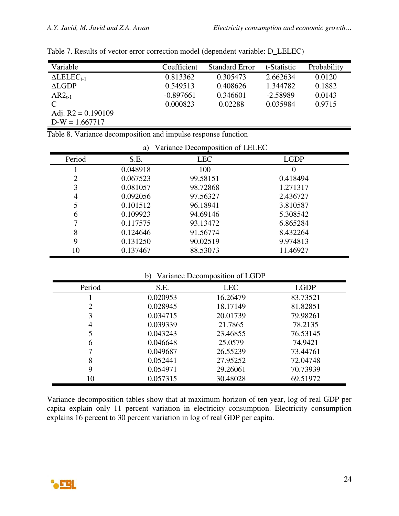| Variable                | Coefficient | <b>Standard Error</b> | t-Statistic | Probability |
|-------------------------|-------------|-----------------------|-------------|-------------|
| $\triangle LELEC_{t-1}$ | 0.813362    | 0.305473              | 2.662634    | 0.0120      |
| ALGDP                   | 0.549513    | 0.408626              | 1.344782    | 0.1882      |
| $AR2_{t-1}$             | $-0.897661$ | 0.346601              | $-2.58989$  | 0.0143      |
| $\mathcal{C}$           | 0.000823    | 0.02288               | 0.035984    | 0.9715      |
| Adj. $R2 = 0.190109$    |             |                       |             |             |
| $D-W = 1.667717$        |             |                       |             |             |

|  | Table 7. Results of vector error correction model (dependent variable: D_LELEC) |  |  |  |
|--|---------------------------------------------------------------------------------|--|--|--|
|  |                                                                                 |  |  |  |

|  |  | Table 8. Variance decomposition and impulse response function |  |
|--|--|---------------------------------------------------------------|--|
|  |  |                                                               |  |

|        | a)       | Variance Decomposition of LELEC |             |
|--------|----------|---------------------------------|-------------|
| Period | S.E.     | <b>LEC</b>                      | <b>LGDP</b> |
|        | 0.048918 | 100                             |             |
| 2      | 0.067523 | 99.58151                        | 0.418494    |
| 3      | 0.081057 | 98.72868                        | 1.271317    |
| 4      | 0.092056 | 97.56327                        | 2.436727    |
|        | 0.101512 | 96.18941                        | 3.810587    |
| 6      | 0.109923 | 94.69146                        | 5.308542    |
|        | 0.117575 | 93.13472                        | 6.865284    |
| 8      | 0.124646 | 91.56774                        | 8.432264    |
| 9      | 0.131250 | 90.02519                        | 9.974813    |
| 10     | 0.137467 | 88.53073                        | 11.46927    |

## b) Variance Decomposition of LGDP

| Period | S.E.     | <b>LEC</b> | <b>LGDP</b> |
|--------|----------|------------|-------------|
|        | 0.020953 | 16.26479   | 83.73521    |
|        | 0.028945 | 18.17149   | 81.82851    |
|        | 0.034715 | 20.01739   | 79.98261    |
|        | 0.039339 | 21.7865    | 78.2135     |
|        | 0.043243 | 23.46855   | 76.53145    |
| 6      | 0.046648 | 25.0579    | 74.9421     |
|        | 0.049687 | 26.55239   | 73.44761    |
| 8      | 0.052441 | 27.95252   | 72.04748    |
| 9      | 0.054971 | 29.26061   | 70.73939    |
| 10     | 0.057315 | 30.48028   | 69.51972    |

Variance decomposition tables show that at maximum horizon of ten year, log of real GDP per capita explain only 11 percent variation in electricity consumption. Electricity consumption explains 16 percent to 30 percent variation in log of real GDP per capita.

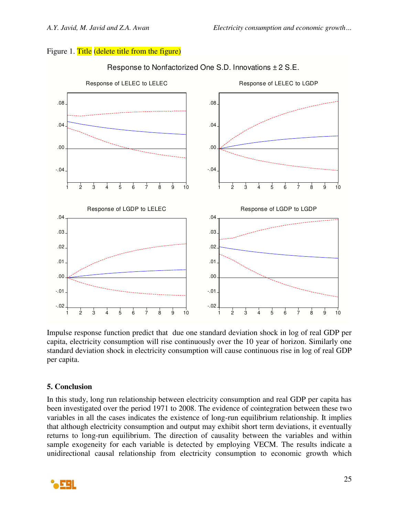## Figure 1. Title (delete title from the figure)



## Response to Nonfactorized One S.D. Innovations ± 2 S.E.

Impulse response function predict that due one standard deviation shock in log of real GDP per capita, electricity consumption will rise continuously over the 10 year of horizon. Similarly one standard deviation shock in electricity consumption will cause continuous rise in log of real GDP per capita.

## **5. Conclusion**

In this study, long run relationship between electricity consumption and real GDP per capita has been investigated over the period 1971 to 2008. The evidence of cointegration between these two variables in all the cases indicates the existence of long-run equilibrium relationship. It implies that although electricity consumption and output may exhibit short term deviations, it eventually returns to long-run equilibrium. The direction of causality between the variables and within sample exogeneity for each variable is detected by employing VECM. The results indicate a unidirectional causal relationship from electricity consumption to economic growth which

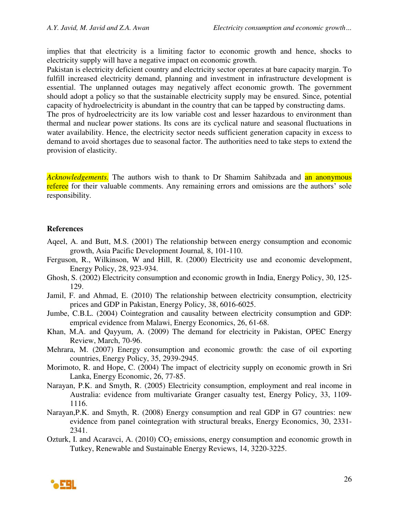implies that that electricity is a limiting factor to economic growth and hence, shocks to electricity supply will have a negative impact on economic growth.

Pakistan is electricity deficient country and electricity sector operates at bare capacity margin. To fulfill increased electricity demand, planning and investment in infrastructure development is essential. The unplanned outages may negatively affect economic growth. The government should adopt a policy so that the sustainable electricity supply may be ensured. Since, potential capacity of hydroelectricity is abundant in the country that can be tapped by constructing dams. The pros of hydroelectricity are its low variable cost and lesser hazardous to environment than

thermal and nuclear power stations. Its cons are its cyclical nature and seasonal fluctuations in water availability. Hence, the electricity sector needs sufficient generation capacity in excess to demand to avoid shortages due to seasonal factor. The authorities need to take steps to extend the provision of elasticity.

*Acknowledgements*. The authors wish to thank to Dr Shamim Sahibzada and an anonymous referee for their valuable comments. Any remaining errors and omissions are the authors' sole responsibility.

## **References**

- Aqeel, A. and Butt, M.S. (2001) The relationship between energy consumption and economic growth, Asia Pacific Development Journal*,* 8, 101-110.
- Ferguson, R., Wilkinson, W and Hill, R. (2000) Electricity use and economic development, Energy Policy, 28, 923-934.
- Ghosh, S. (2002) Electricity consumption and economic growth in India, Energy Policy, 30, 125- 129.
- Jamil, F. and Ahmad, E. (2010) The relationship between electricity consumption, electricity prices and GDP in Pakistan, Energy Policy, 38, 6016-6025.
- Jumbe, C.B.L. (2004) Cointegration and causality between electricity consumption and GDP: emprical evidence from Malawi, Energy Economics, 26, 61-68.
- Khan, M.A. and Qayyum, A. (2009) The demand for electricity in Pakistan, OPEC Energy Review, March, 70-96.
- Mehrara, M. (2007) Energy consumption and economic growth: the case of oil exporting countries, Energy Policy, 35, 2939-2945.
- Morimoto, R. and Hope, C. (2004) The impact of electricity supply on economic growth in Sri Lanka, Energy Economic, 26, 77-85.
- Narayan, P.K. and Smyth, R. (2005) Electricity consumption, employment and real income in Australia: evidence from multivariate Granger casualty test, Energy Policy, 33, 1109- 1116.
- Narayan,P.K. and Smyth, R. (2008) Energy consumption and real GDP in G7 countries: new evidence from panel cointegration with structural breaks, Energy Economics, 30, 2331- 2341.
- Ozturk, I. and Acaravci, A. (2010)  $CO<sub>2</sub>$  emissions, energy consumption and economic growth in Tutkey, Renewable and Sustainable Energy Reviews, 14, 3220-3225.